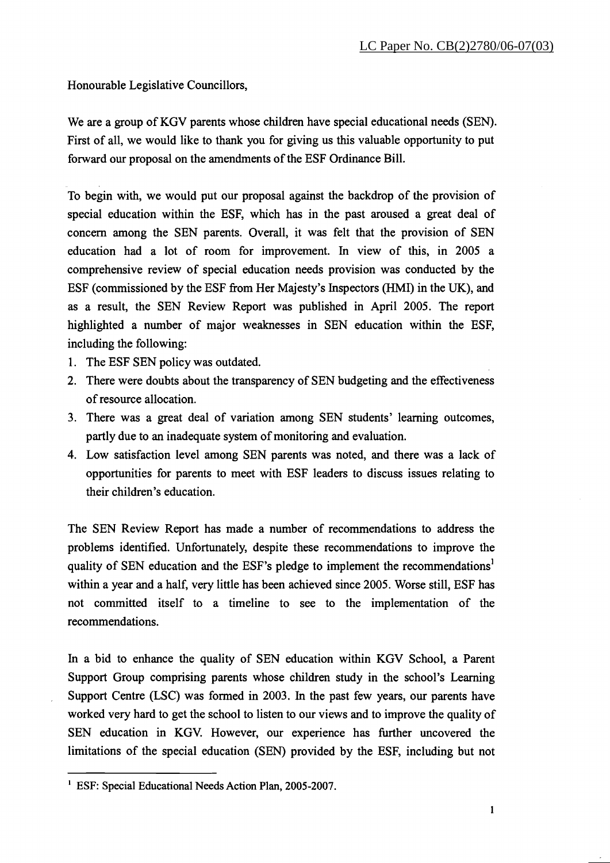Honourable Legislative Councillors,

We are a group of KGV parents whose children have special educational needs (SEN). First of all, we would like to thank you for giving us this valuable opportunity to put forward our proposal on the amendments of the ESF Ordinance Bill.

To begin with, we would put our proposal against the backdrop of the provision of special education within the ESF, which has in the past aroused a great deal of concern among the SEN parents. Overall, it was felt that the provision of SEN education had a lot of room for improvement. In view of this, in **2005** a comprehensive review of special education needs provision was conducted by the ESF (commissioned by the ESF fiom Her Majesty's Inspectors (HMI) in the UK), and as a result, the SEN Review Report was published in April **2005.** The report highlighted a number of major weaknesses in SEN education within the ESF, including the following:

- 1. The ESF SEN policy was outdated.
- **2.** There were doubts about the transparency of SEN budgeting and the effectiveness of resource allocation.
- 3. There was a great deal of variation among SEN students' learning outcomes, partly due to an inadequate system of monitoring and evaluation.
- 4. Low satisfaction level among SEN parents was noted, and there was a lack of opportunities for parents to meet with ESF leaders to discuss issues relating to their children's education.

The SEN Review Report has made a number of recommendations to address the problems identified. Unfortunately, despite these recommendations to improve the quality of SEN education and the ESF's pledge to implement the recommendations' within a year and a half, very little has been achieved since **2005.** Worse still, ESF has not committed itself to a timeline to see to the implementation of the recommendations.

In a bid to enhance the quality of SEN education within KGV School, a Parent Support Group comprising parents whose children study in the school's Learning Support Centre (LSC) was formed in **2003.** In the past few years, our parents have worked very hard to get the school to listen to our views and to improve the quality of SEN education in KGV. However, our experience has further uncovered the limitations of the special education (SEN) provided by the ESF, including but not

<sup>&#</sup>x27; ESF: Special Educational Needs Action Plan, **2005-2007.**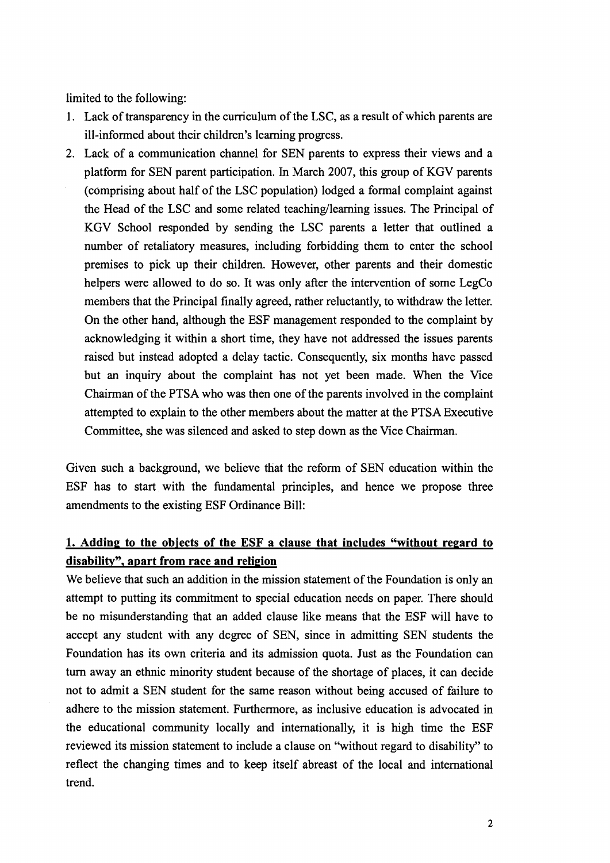limited to the following:

- 1. Lack of transparency in the curriculum of the LSC, as a result of which parents are ill-informed about their children's learning progress.
- 2. Lack of a communication channel for SEN parents to express their views and a platform for SEN parent participation. In March 2007, this group of KGV parents (comprising about half of the LSC population) lodged a formal complaint against the Head of the LSC and some related teaching/learning issues. The Principal of KGV School responded by sending the LSC parents a letter that outlined a number of retaliatory measures, including forbidding them to enter the school premises to pick up their children. However, other parents and their domestic helpers were allowed to do so. It was only after the intervention of some LegCo members that the Principal finally agreed, rather reluctantly, to withdraw the letter. On the other hand, although the ESF management responded to the complaint by acknowledging it within a short time, they have not addressed the issues parents raised but instead adopted a delay tactic. Consequently, six months have passed but an inquiry about the complaint has not yet been made. When the Vice Chairman of the PTSA who was then one of the parents involved in the complaint attempted to explain to the other members about the matter at the PTSA Executive Committee, she was silenced and asked to step down as the Vice Chairman.

Given such a background, we believe that the reform of SEN education within the ESF has to start with the fundamental principles, and hence we propose three amendments to the existing ESF Ordinance Bill:

## **1. Addinp to the objects of the ESF a clause that includes "without repard to disability", apart from race and relipion**

We believe that such an addition in the mission statement of the Foundation is only an attempt to putting its commitment to special education needs on paper. There should be no misunderstanding that an added clause like means that the ESF will have to accept any student with any degree of SEN, since in admitting SEN students the Foundation has its own criteria and its admission quota. Just as the Foundation can turn away an ethnic minority student because of the shortage of places, it can decide not to admit a SEN student for the same reason without being accused of failure to adhere to the mission statement. Furthermore, as inclusive education is advocated in the educational community locally and internationally, it is high time the ESF reviewed its mission statement to include a clause on "without regard to disability" to reflect the changing times and to keep itself abreast of the local and international trend.